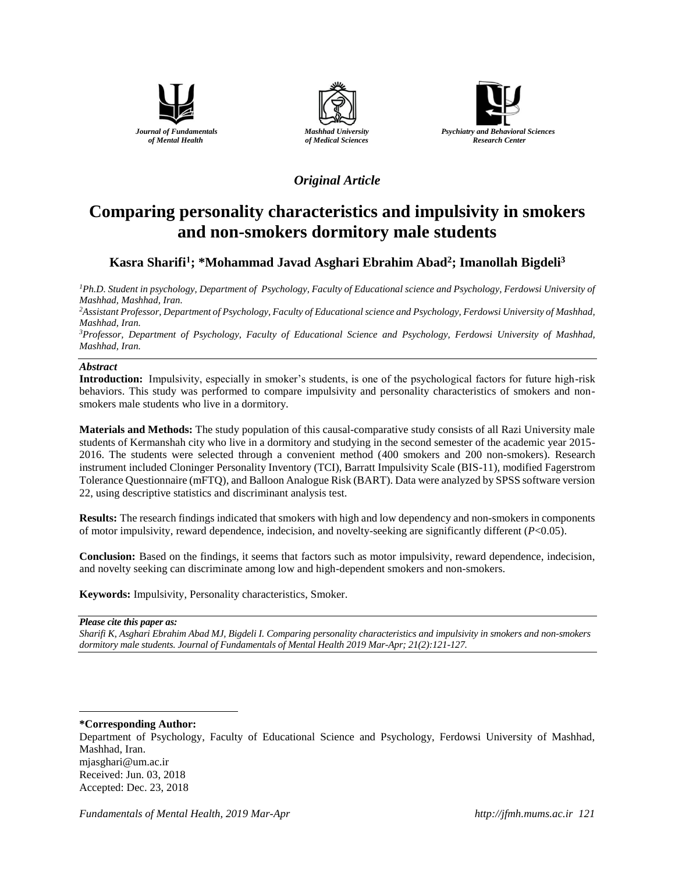





## *Original Article*

# **Comparing personality characteristics and impulsivity in smokers and non-smokers dormitory male students**

## **Kasra Sharifi<sup>1</sup> ; \*Mohammad Javad Asghari Ebrahim Abad<sup>2</sup> ; Imanollah Bigdeli<sup>3</sup>**

*<sup>1</sup>Ph.D. Student in psychology, Department of Psychology, Faculty of Educational science and Psychology, Ferdowsi University of Mashhad, Mashhad, Iran.*

*<sup>2</sup>Assistant Professor, Department of Psychology, Faculty of Educational science and Psychology, Ferdowsi University of Mashhad, Mashhad, Iran.*

*<sup>3</sup>Professor, Department of Psychology, Faculty of Educational Science and Psychology, Ferdowsi University of Mashhad, Mashhad, Iran.*

## *Abstract*

**Introduction:** Impulsivity, especially in smoker's students, is one of the psychological factors for future high-risk behaviors. This study was performed to compare impulsivity and personality characteristics of smokers and nonsmokers male students who live in a dormitory.

**Materials and Methods:** The study population of this causal-comparative study consists of all Razi University male students of Kermanshah city who live in a dormitory and studying in the second semester of the academic year 2015- 2016. The students were selected through a convenient method (400 smokers and 200 non-smokers). Research instrument included Cloninger Personality Inventory (TCI), Barratt Impulsivity Scale (BIS-11), modified Fagerstrom Tolerance Questionnaire (mFTQ), and Balloon Analogue Risk (BART). Data were analyzed by SPSS software version 22, using descriptive statistics and discriminant analysis test.

**Results:** The research findings indicated that smokers with high and low dependency and non-smokers in components of motor impulsivity, reward dependence, indecision, and novelty-seeking are significantly different (*P*<0.05).

**Conclusion:** Based on the findings, it seems that factors such as motor impulsivity, reward dependence, indecision, and novelty seeking can discriminate among low and high-dependent smokers and non-smokers.

**Keywords:** Impulsivity, Personality characteristics, Smoker.

*Please cite this paper as:* 

*Sharifi K, Asghari Ebrahim Abad MJ, Bigdeli I. Comparing personality characteristics and impulsivity in smokers and non-smokers dormitory male students. Journal of Fundamentals of Mental Health 2019 Mar-Apr; 21(2):121-127.*

**\*Corresponding Author:**

 $\overline{a}$ 

Department of Psychology, Faculty of Educational Science and Psychology, Ferdowsi University of Mashhad, Mashhad, Iran. mjasghari@um.ac.ir Received: Jun. 03, 2018 Accepted: Dec. 23, 2018

*Fundamentals of Mental Health, 2019 Mar-Apr [http://jfmh.mums.ac.ir](http://jfmh.mums.ac.ir/) 121*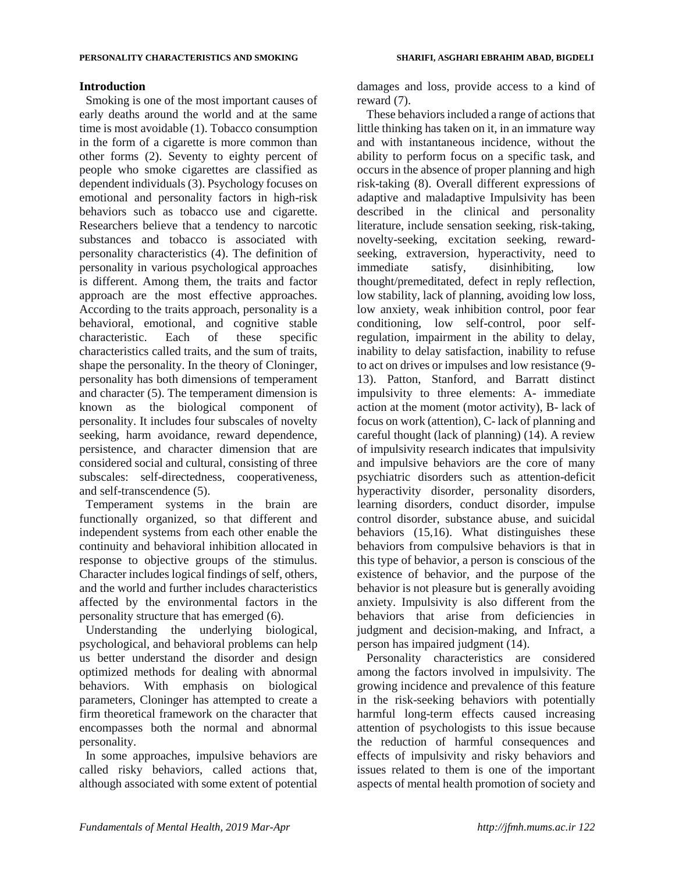## **Introduction**

Smoking is one of the most important causes of early deaths around the world and at the same time is most avoidable (1). Tobacco consumption in the form of a cigarette is more common than other forms (2). Seventy to eighty percent of people who smoke cigarettes are classified as dependent individuals (3). Psychology focuses on emotional and personality factors in high-risk behaviors such as tobacco use and cigarette. Researchers believe that a tendency to narcotic substances and tobacco is associated with personality characteristics (4). The definition of personality in various psychological approaches is different. Among them, the traits and factor approach are the most effective approaches. According to the traits approach, personality is a behavioral, emotional, and cognitive stable characteristic. Each of these specific characteristics called traits, and the sum of traits, shape the personality. In the theory of Cloninger, personality has both dimensions of temperament and character (5). The temperament dimension is known as the biological component of personality. It includes four subscales of novelty seeking, harm avoidance, reward dependence, persistence, and character dimension that are considered social and cultural, consisting of three subscales: self-directedness, cooperativeness, and self-transcendence (5).

Temperament systems in the brain are functionally organized, so that different and independent systems from each other enable the continuity and behavioral inhibition allocated in response to objective groups of the stimulus. Character includes logical findings of self, others, and the world and further includes characteristics affected by the environmental factors in the personality structure that has emerged (6).

Understanding the underlying biological, psychological, and behavioral problems can help us better understand the disorder and design optimized methods for dealing with abnormal behaviors. With emphasis on biological parameters, Cloninger has attempted to create a firm theoretical framework on the character that encompasses both the normal and abnormal personality.

In some approaches, impulsive behaviors are called risky behaviors, called actions that, although associated with some extent of potential

damages and loss, provide access to a kind of reward (7).

These behaviors included a range of actions that little thinking has taken on it, in an immature way and with instantaneous incidence, without the ability to perform focus on a specific task, and occurs in the absence of proper planning and high risk-taking (8). Overall different expressions of adaptive and maladaptive Impulsivity has been described in the clinical and personality literature, include sensation seeking, risk-taking, novelty-seeking, excitation seeking, rewardseeking, extraversion, hyperactivity, need to immediate satisfy, disinhibiting, low thought/premeditated, defect in reply reflection, low stability, lack of planning, avoiding low loss, low anxiety, weak inhibition control, poor fear conditioning, low self-control, poor selfregulation, impairment in the ability to delay, inability to delay satisfaction, inability to refuse to act on drives or impulses and low resistance (9- 13). Patton, Stanford, and Barratt distinct impulsivity to three elements: A- immediate action at the moment (motor activity), B- lack of focus on work (attention), C- lack of planning and careful thought (lack of planning) (14). A review of impulsivity research indicates that impulsivity and impulsive behaviors are the core of many psychiatric disorders such as attention-deficit hyperactivity disorder, personality disorders, learning disorders, conduct disorder, impulse control disorder, substance abuse, and suicidal behaviors (15,16). What distinguishes these behaviors from compulsive behaviors is that in this type of behavior, a person is conscious of the existence of behavior, and the purpose of the behavior is not pleasure but is generally avoiding anxiety. Impulsivity is also different from the behaviors that arise from deficiencies in judgment and decision-making, and Infract, a person has impaired judgment (14).

Personality characteristics are considered among the factors involved in impulsivity. The growing incidence and prevalence of this feature in the risk-seeking behaviors with potentially harmful long-term effects caused increasing attention of psychologists to this issue because the reduction of harmful consequences and effects of impulsivity and risky behaviors and issues related to them is one of the important aspects of mental health promotion of society and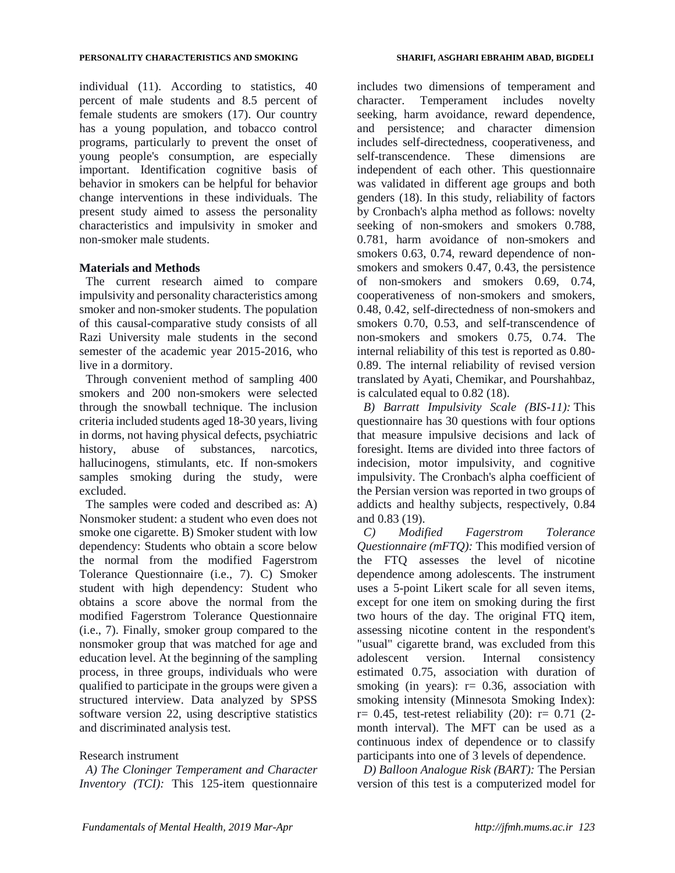individual (11). According to statistics, 40 percent of male students and 8.5 percent of female students are smokers (17). Our country has a young population, and tobacco control programs, particularly to prevent the onset of young people's consumption, are especially important. Identification cognitive basis of behavior in smokers can be helpful for behavior change interventions in these individuals. The present study aimed to assess the personality characteristics and impulsivity in smoker and non-smoker male students.

## **Materials and Methods**

The current research aimed to compare impulsivity and personality characteristics among smoker and non-smoker students. The population of this causal-comparative study consists of all Razi University male students in the second semester of the academic year 2015-2016, who live in a dormitory.

Through convenient method of sampling 400 smokers and 200 non-smokers were selected through the snowball technique. The inclusion criteria included students aged 18-30 years, living in dorms, not having physical defects, psychiatric history, abuse of substances, narcotics, hallucinogens, stimulants, etc. If non-smokers samples smoking during the study, were excluded.

The samples were coded and described as: A) Nonsmoker student: a student who even does not smoke one cigarette. B) Smoker student with low dependency: Students who obtain a score below the normal from the modified Fagerstrom Tolerance Questionnaire (i.e., 7). C) Smoker student with high dependency: Student who obtains a score above the normal from the modified Fagerstrom Tolerance Questionnaire (i.e., 7). Finally, smoker group compared to the nonsmoker group that was matched for age and education level. At the beginning of the sampling process, in three groups, individuals who were qualified to participate in the groups were given a structured interview. Data analyzed by SPSS software version 22, using descriptive statistics and discriminated analysis test.

## Research instrument

*A) The Cloninger Temperament and Character Inventory (TCI):* This 125-item questionnaire includes two dimensions of temperament and character. Temperament includes novelty seeking, harm avoidance, reward dependence, and persistence; and character dimension includes self-directedness, cooperativeness, and self-transcendence. These dimensions are independent of each other. This questionnaire was validated in different age groups and both genders (18). In this study, reliability of factors by Cronbach's alpha method as follows: novelty seeking of non-smokers and smokers 0.788, 0.781, harm avoidance of non-smokers and smokers 0.63, 0.74, reward dependence of nonsmokers and smokers 0.47, 0.43, the persistence of non-smokers and smokers 0.69, 0.74, cooperativeness of non-smokers and smokers, 0.48, 0.42, self-directedness of non-smokers and smokers 0.70, 0.53, and self-transcendence of non-smokers and smokers 0.75, 0.74. The internal reliability of this test is reported as 0.80- 0.89. The internal reliability of revised version translated by Ayati, Chemikar, and Pourshahbaz, is calculated equal to 0.82 (18).

*B) Barratt Impulsivity Scale (BIS-11):* This questionnaire has 30 questions with four options that measure impulsive decisions and lack of foresight. Items are divided into three factors of indecision, motor impulsivity, and cognitive impulsivity. The Cronbach's alpha coefficient of the Persian version was reported in two groups of addicts and healthy subjects, respectively, 0.84 and 0.83 (19).

*C) Modified Fagerstrom Tolerance Questionnaire (mFTQ):* This modified version of the FTQ assesses the level of nicotine dependence among adolescents. The instrument uses a 5-point Likert scale for all seven items, except for one item on smoking during the first two hours of the day. The original FTQ item, assessing nicotine content in the respondent's "usual" cigarette brand, was excluded from this adolescent version. Internal consistency estimated 0.75, association with duration of smoking (in years):  $r = 0.36$ , association with smoking intensity (Minnesota Smoking Index):  $r= 0.45$ , test-retest reliability (20):  $r= 0.71$  (2month interval). The MFT can be used as a continuous index of dependence or to classify participants into one of 3 levels of dependence.

*D) Balloon Analogue Risk (BART):* The Persian version of this test is a computerized model for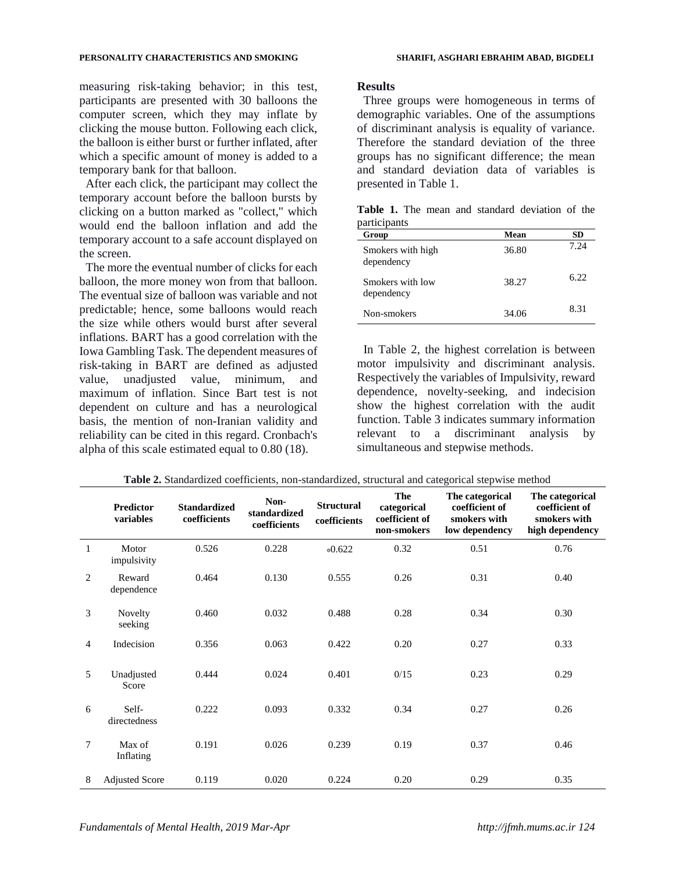#### **PERSONALITY CHARACTERISTICS AND SMOKING SHARIFI, ASGHARI EBRAHIM ABAD, BIGDELI**

measuring risk-taking behavior; in this test, participants are presented with 30 balloons the computer screen, which they may inflate by clicking the mouse button. Following each click, the balloon is either burst or further inflated, after which a specific amount of money is added to a temporary bank for that balloon.

After each click, the participant may collect the temporary account before the balloon bursts by clicking on a button marked as "collect," which would end the balloon inflation and add the temporary account to a safe account displayed on the screen.

The more the eventual number of clicks for each balloon, the more money won from that balloon. The eventual size of balloon was variable and not predictable; hence, some balloons would reach the size while others would burst after several inflations. BART has a good correlation with the Iowa Gambling Task. The dependent measures of risk-taking in BART are defined as adjusted value, unadjusted value, minimum, and maximum of inflation. Since Bart test is not dependent on culture and has a neurological basis, the mention of non-Iranian validity and reliability can be cited in this regard. Cronbach's alpha of this scale estimated equal to 0.80 (18).

## **Results**

Three groups were homogeneous in terms of demographic variables. One of the assumptions of discriminant analysis is equality of variance. Therefore the standard deviation of the three groups has no significant difference; the mean and standard deviation data of variables is presented in Table 1.

|              |  |  |  |  | <b>Table 1.</b> The mean and standard deviation of the |  |
|--------------|--|--|--|--|--------------------------------------------------------|--|
| participants |  |  |  |  |                                                        |  |

| Group                           | Mean  | SD   |
|---------------------------------|-------|------|
| Smokers with high<br>dependency | 36.80 | 7.24 |
| Smokers with low<br>dependency  | 38.27 | 6.22 |
| Non-smokers                     | 34.06 | 8.31 |

In Table 2, the highest correlation is between motor impulsivity and discriminant analysis. Respectively the variables of Impulsivity, reward dependence, novelty-seeking, and indecision show the highest correlation with the audit function. Table 3 indicates summary information relevant to a discriminant analysis by simultaneous and stepwise methods.

|                | <b>Predictor</b><br>variables | <b>Standardized</b><br>coefficients | Non-<br>standardized<br>coefficients | <b>Structural</b><br>coefficients | The<br>categorical<br>coefficient of<br>non-smokers | The categorical<br>coefficient of<br>smokers with<br>low dependency | The categorical<br>coefficient of<br>smokers with<br>high dependency |
|----------------|-------------------------------|-------------------------------------|--------------------------------------|-----------------------------------|-----------------------------------------------------|---------------------------------------------------------------------|----------------------------------------------------------------------|
| 1              | Motor<br>impulsivity          | 0.526                               | 0.228                                | $*0.622$                          | 0.32                                                | 0.51                                                                | 0.76                                                                 |
| 2              | Reward<br>dependence          | 0.464                               | 0.130                                | 0.555                             | 0.26                                                | 0.31                                                                | 0.40                                                                 |
| 3              | Novelty<br>seeking            | 0.460                               | 0.032                                | 0.488                             | 0.28                                                | 0.34                                                                | 0.30                                                                 |
| $\overline{4}$ | Indecision                    | 0.356                               | 0.063                                | 0.422                             | 0.20                                                | 0.27                                                                | 0.33                                                                 |
| 5              | Unadjusted<br>Score           | 0.444                               | 0.024                                | 0.401                             | 0/15                                                | 0.23                                                                | 0.29                                                                 |
| 6              | Self-<br>directedness         | 0.222                               | 0.093                                | 0.332                             | 0.34                                                | 0.27                                                                | 0.26                                                                 |
| $\overline{7}$ | Max of<br>Inflating           | 0.191                               | 0.026                                | 0.239                             | 0.19                                                | 0.37                                                                | 0.46                                                                 |
| 8              | <b>Adjusted Score</b>         | 0.119                               | 0.020                                | 0.224                             | 0.20                                                | 0.29                                                                | 0.35                                                                 |

**Table 2.** Standardized coefficients, non-standardized, structural and categorical stepwise method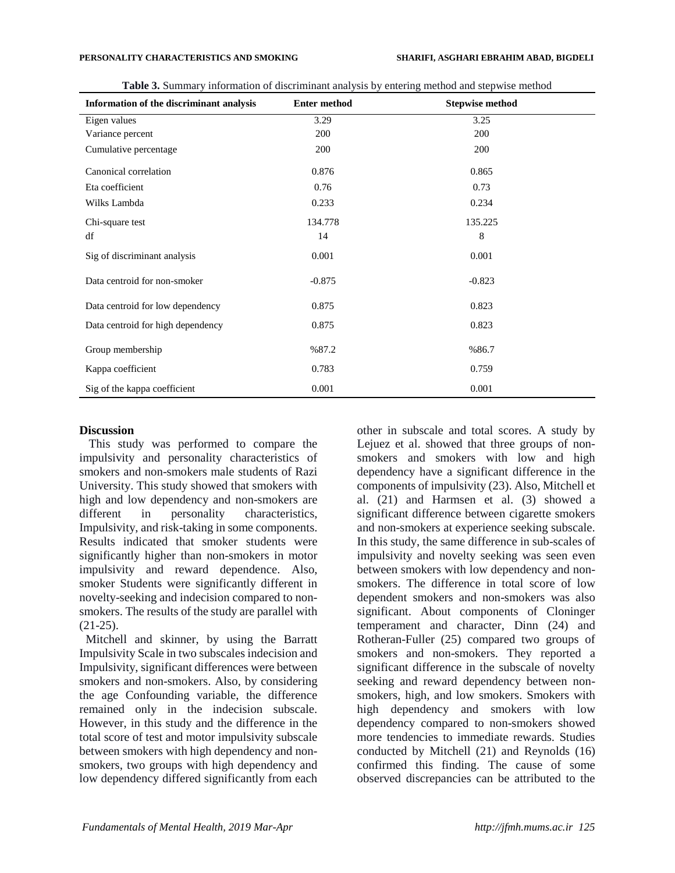| Information of the discriminant analysis | <b>Enter method</b> | <b>Stepwise method</b> |
|------------------------------------------|---------------------|------------------------|
| Eigen values                             | 3.29                | 3.25                   |
| Variance percent                         | 200                 | 200                    |
| Cumulative percentage                    | 200                 | 200                    |
| Canonical correlation                    | 0.876               | 0.865                  |
| Eta coefficient                          | 0.76                | 0.73                   |
| Wilks Lambda                             | 0.233               | 0.234                  |
| Chi-square test                          | 134.778             | 135.225                |
| df                                       | 14                  | 8                      |
| Sig of discriminant analysis             | 0.001               | 0.001                  |
| Data centroid for non-smoker             | $-0.875$            | $-0.823$               |
| Data centroid for low dependency         | 0.875               | 0.823                  |
| Data centroid for high dependency        | 0.875               | 0.823                  |
| Group membership                         | %87.2               | %86.7                  |
| Kappa coefficient                        | 0.783               | 0.759                  |
| Sig of the kappa coefficient             | 0.001               | 0.001                  |

**Table 3.** Summary information of discriminant analysis by entering method and stepwise method

## **Discussion**

This study was performed to compare the impulsivity and personality characteristics of smokers and non-smokers male students of Razi University. This study showed that smokers with high and low dependency and non-smokers are different in personality characteristics, Impulsivity, and risk-taking in some components. Results indicated that smoker students were significantly higher than non-smokers in motor impulsivity and reward dependence. Also, smoker Students were significantly different in novelty-seeking and indecision compared to nonsmokers. The results of the study are parallel with (21-25).

Mitchell and skinner, by using the Barratt Impulsivity Scale in two subscales indecision and Impulsivity, significant differences were between smokers and non-smokers. Also, by considering the age Confounding variable, the difference remained only in the indecision subscale. However, in this study and the difference in the total score of test and motor impulsivity subscale between smokers with high dependency and nonsmokers, two groups with high dependency and low dependency differed significantly from each

other in subscale and total scores. A study by Lejuez et al. showed that three groups of nonsmokers and smokers with low and high dependency have a significant difference in the components of impulsivity (23). Also, Mitchell et al. (21) and Harmsen et al. (3) showed a significant difference between cigarette smokers and non-smokers at experience seeking subscale. In this study, the same difference in sub-scales of impulsivity and novelty seeking was seen even between smokers with low dependency and nonsmokers. The difference in total score of low dependent smokers and non-smokers was also significant. About components of Cloninger temperament and character, Dinn (24) and Rotheran-Fuller (25) compared two groups of smokers and non-smokers. They reported a significant difference in the subscale of novelty seeking and reward dependency between nonsmokers, high, and low smokers. Smokers with high dependency and smokers with low dependency compared to non-smokers showed more tendencies to immediate rewards. Studies conducted by Mitchell (21) and Reynolds (16) confirmed this finding. The cause of some observed discrepancies can be attributed to the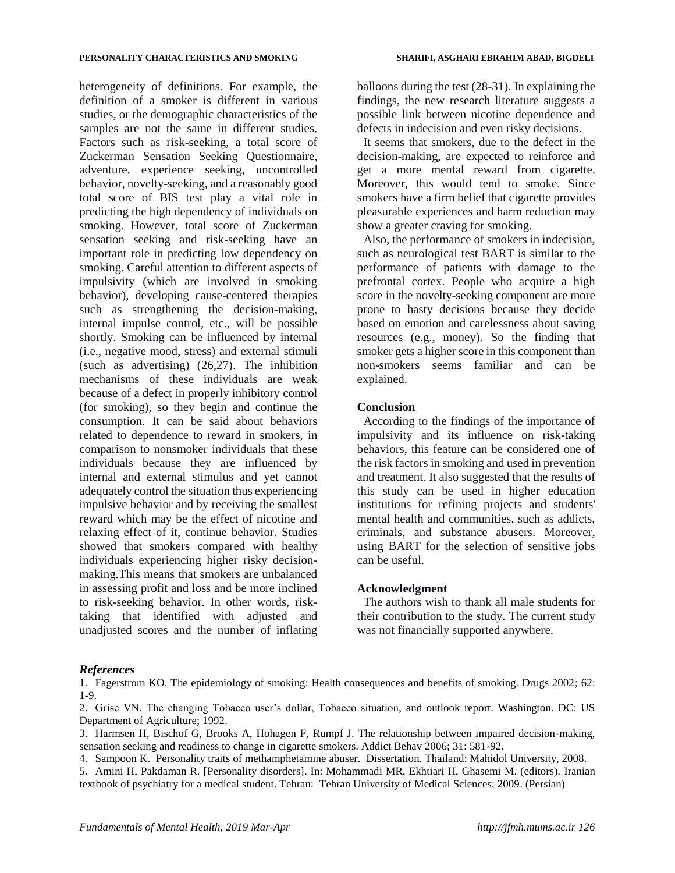heterogeneity of definitions. For example, the definition of a smoker is different in various studies, or the demographic characteristics of the samples are not the same in different studies. Factors such as risk-seeking, a total score of Zuckerman Sensation Seeking Questionnaire, adventure, experience seeking, uncontrolled behavior, novelty-seeking, and a reasonably good total score of BIS test play a vital role in predicting the high dependency of individuals on smoking. However, total score of Zuckerman sensation seeking and risk-seeking have an important role in predicting low dependency on smoking. Careful attention to different aspects of impulsivity (which are involved in smoking behavior), developing cause-centered therapies such as strengthening the decision-making, internal impulse control, etc., will be possible shortly. Smoking can be influenced by internal (i.e., negative mood, stress) and external stimuli (such as advertising) (26,27). The inhibition mechanisms of these individuals are weak because of a defect in properly inhibitory control (for smoking), so they begin and continue the consumption. It can be said about behaviors related to dependence to reward in smokers, in comparison to nonsmoker individuals that these individuals because they are influenced by internal and external stimulus and yet cannot adequately control the situation thus experiencing impulsive behavior and by receiving the smallest reward which may be the effect of nicotine and relaxing effect of it, continue behavior. Studies showed that smokers compared with healthy individuals experiencing higher risky decisionmaking.This means that smokers are unbalanced in assessing profit and loss and be more inclined to risk-seeking behavior. In other words, risktaking that identified with adjusted and unadjusted scores and the number of inflating

balloons during the test (28-31). In explaining the findings, the new research literature suggests a possible link between nicotine dependence and defects in indecision and even risky decisions.

It seems that smokers, due to the defect in the decision-making, are expected to reinforce and get a more mental reward from cigarette. Moreover, this would tend to smoke. Since smokers have a firm belief that cigarette provides pleasurable experiences and harm reduction may show a greater craving for smoking.

Also, the performance of smokers in indecision, such as neurological test BART is similar to the performance of patients with damage to the prefrontal cortex. People who acquire a high score in the novelty-seeking component are more prone to hasty decisions because they decide based on emotion and carelessness about saving resources (e.g., money). So the finding that smoker gets a higher score in this component than non-smokers seems familiar and can be explained.

## **Conclusion**

According to the findings of the importance of impulsivity and its influence on risk-taking behaviors, this feature can be considered one of the risk factors in smoking and used in prevention and treatment. It also suggested that the results of this study can be used in higher education institutions for refining projects and students' mental health and communities, such as addicts, criminals, and substance abusers. Moreover, using BART for the selection of sensitive jobs can be useful.

## **Acknowledgment**

The authors wish to thank all male students for their contribution to the study. The current study was not financially supported anywhere.

### *References*

1. Fagerstrom KO. The epidemiology of smoking: Health consequences and benefits of smoking. Drugs 2002; 62: 1-9.

2. Grise VN. The changing Tobacco user's dollar, Tobacco situation, and outlook report. Washington. DC: US Department of Agriculture; 1992.

3. Harmsen H, Bischof G, Brooks A, Hohagen F, Rumpf J. The relationship between impaired decision-making, sensation seeking and readiness to change in cigarette smokers. Addict Behav 2006; 31: 581-92.

4. Sampoon K. Personality traits of methamphetamine abuser. Dissertation. Thailand: Mahidol University, 2008.

5. Amini H, Pakdaman R. [Personality disorders]. In: Mohammadi MR, Ekhtiari H, Ghasemi M. (editors). Iranian textbook of psychiatry for a medical student. Tehran: Tehran University of Medical Sciences; 2009. (Persian)